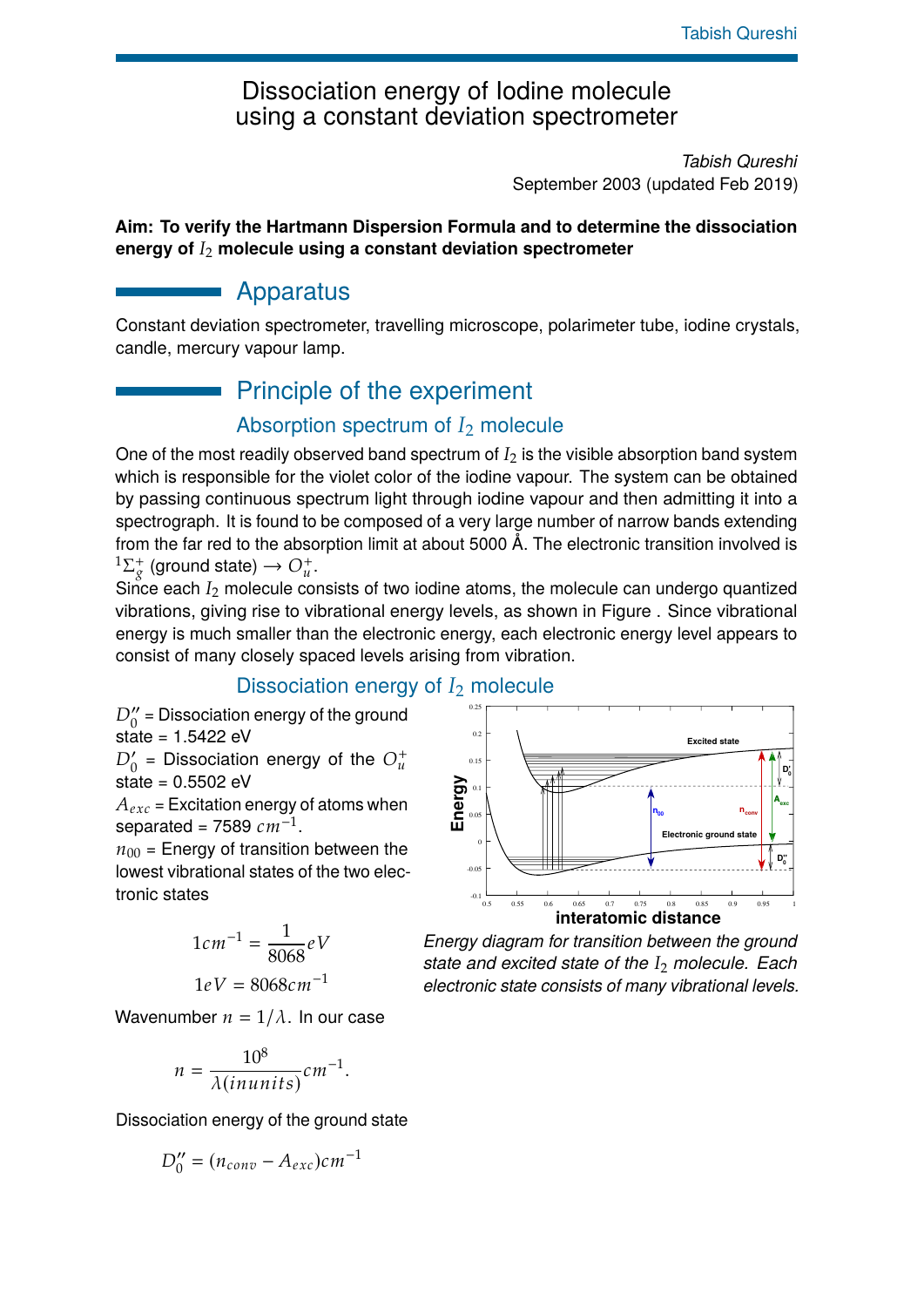# Dissociation energy of Iodine molecule using a constant deviation spectrometer

*Tabish Qureshi* September 2003 (updated Feb 2019)

#### **Aim: To verify the Hartmann Dispersion Formula and to determine the dissociation energy of** *I*<sup>2</sup> **molecule using a constant deviation spectrometer**

# Apparatus

Constant deviation spectrometer, travelling microscope, polarimeter tube, iodine crystals, candle, mercury vapour lamp.

# Principle of the experiment

### Absorption spectrum of *I*<sup>2</sup> molecule

One of the most readily observed band spectrum of  $I_2$  is the visible absorption band system which is responsible for the violet color of the iodine vapour. The system can be obtained by passing continuous spectrum light through iodine vapour and then admitting it into a spectrograph. It is found to be composed of a very large number of narrow bands extending from the far red to the absorption limit at about 5000 Å. The electronic transition involved is  $1\Sigma_{\sigma}^+$  $g^{\dagger}$  (ground state)  $\rightarrow O_{u}^{+}.$ 

Since each *I*<sub>2</sub> molecule consists of two iodine atoms, the molecule can undergo quantized vibrations, giving rise to vibrational energy levels, as shown in Figure . Since vibrational energy is much smaller than the electronic energy, each electronic energy level appears to consist of many closely spaced levels arising from vibration.

# Dissociation energy of *I*<sup>2</sup> molecule

 $D_0^{\prime\prime}$  = Dissociation energy of the ground state = 1.5422 eV

$$
D'_0
$$
 = Dissociation energy of the  $O_u^+$ 

$$
state = 0.5502 eV
$$

 $A_{exc}$  = Excitation energy of atoms when separated = 7589  $cm^{-1}$ .

 $n_{00}$  = Energy of transition between the lowest vibrational states of the two electronic states

$$
1cm^{-1} = \frac{1}{8068}eV
$$

$$
1eV = 8068cm^{-1}
$$

Wavenumber  $n = 1/\lambda$ . In our case

$$
n = \frac{10^8}{\lambda(inunits)} cm^{-1}.
$$

Dissociation energy of the ground state

$$
D_0^{\prime\prime} = (n_{conv} - A_{exc})cm^{-1}
$$



*Energy diagram for transition between the ground state and excited state of the I*<sup>2</sup> *molecule. Each electronic state consists of many vibrational levels.*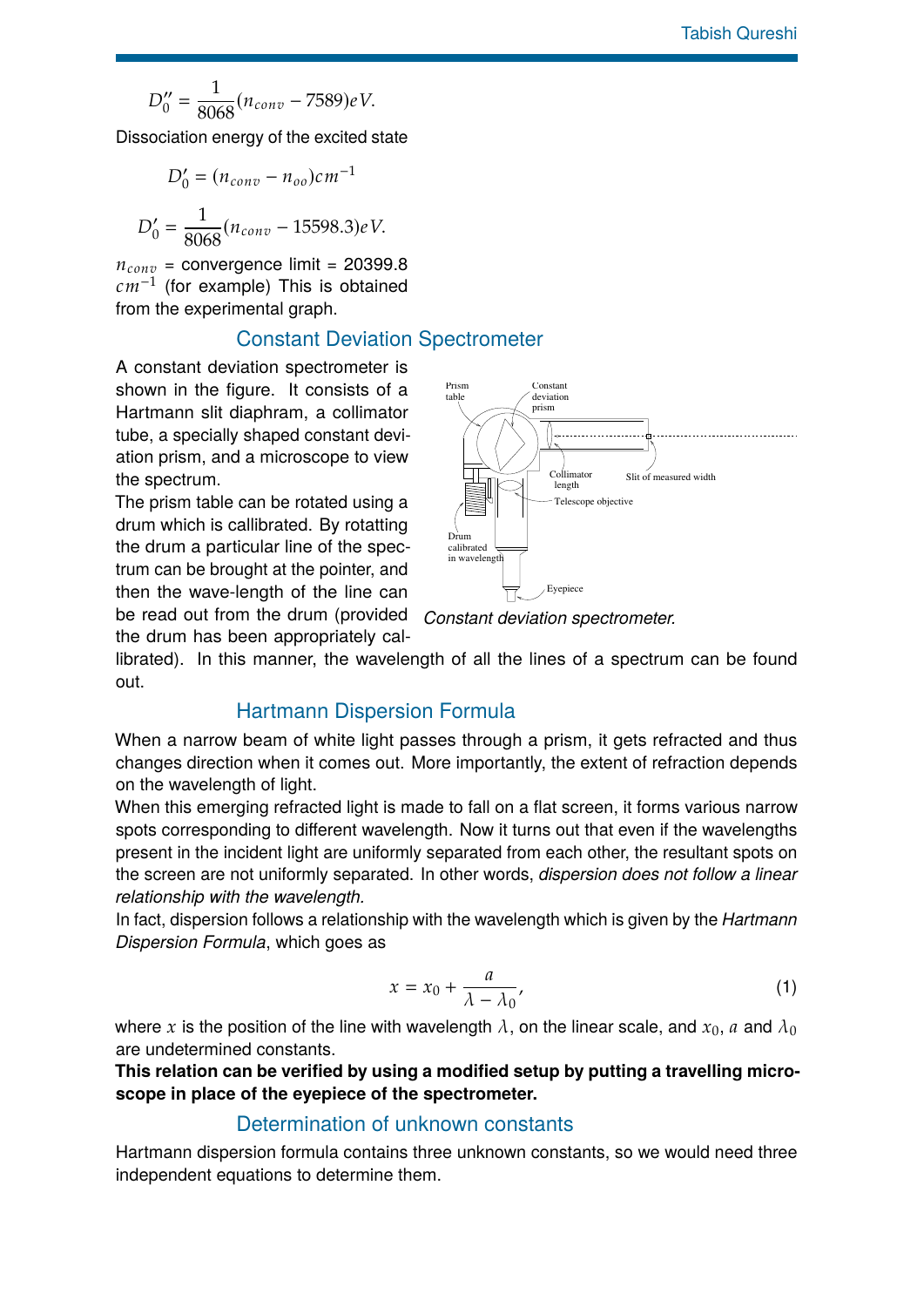$$
D_0'' = \frac{1}{8068}(n_{conv} - 7589)eV.
$$

Dissociation energy of the excited state

$$
D'_0 = (n_{conv} - n_{oo})cm^{-1}
$$

$$
D'_0 = \frac{1}{8068}(n_{conv} - 15598.3)eV.
$$

 $n_{conv}$  = convergence limit = 20399.8 *cm*−<sup>1</sup> (for example) This is obtained from the experimental graph.

#### Constant Deviation Spectrometer

A constant deviation spectrometer is shown in the figure. It consists of a Hartmann slit diaphram, a collimator tube, a specially shaped constant deviation prism, and a microscope to view the spectrum.

The prism table can be rotated using a drum which is callibrated. By rotatting the drum a particular line of the spectrum can be brought at the pointer, and then the wave-length of the line can be read out from the drum (provided

the drum has been appropriately cal-



*Constant deviation spectrometer.*

librated). In this manner, the wavelength of all the lines of a spectrum can be found out.

#### Hartmann Dispersion Formula

When a narrow beam of white light passes through a prism, it gets refracted and thus changes direction when it comes out. More importantly, the extent of refraction depends on the wavelength of light.

When this emerging refracted light is made to fall on a flat screen, it forms various narrow spots corresponding to different wavelength. Now it turns out that even if the wavelengths present in the incident light are uniformly separated from each other, the resultant spots on the screen are not uniformly separated. In other words, *dispersion does not follow a linear relationship with the wavelength.*

In fact, dispersion follows a relationship with the wavelength which is given by the *Hartmann Dispersion Formula*, which goes as

$$
x = x_0 + \frac{a}{\lambda - \lambda_0},\tag{1}
$$

where *x* is the position of the line with wavelength  $\lambda$ , on the linear scale, and  $x_0$ , *a* and  $\lambda_0$ are undetermined constants.

**This relation can be verified by using a modified setup by putting a travelling microscope in place of the eyepiece of the spectrometer.**

#### Determination of unknown constants

Hartmann dispersion formula contains three unknown constants, so we would need three independent equations to determine them.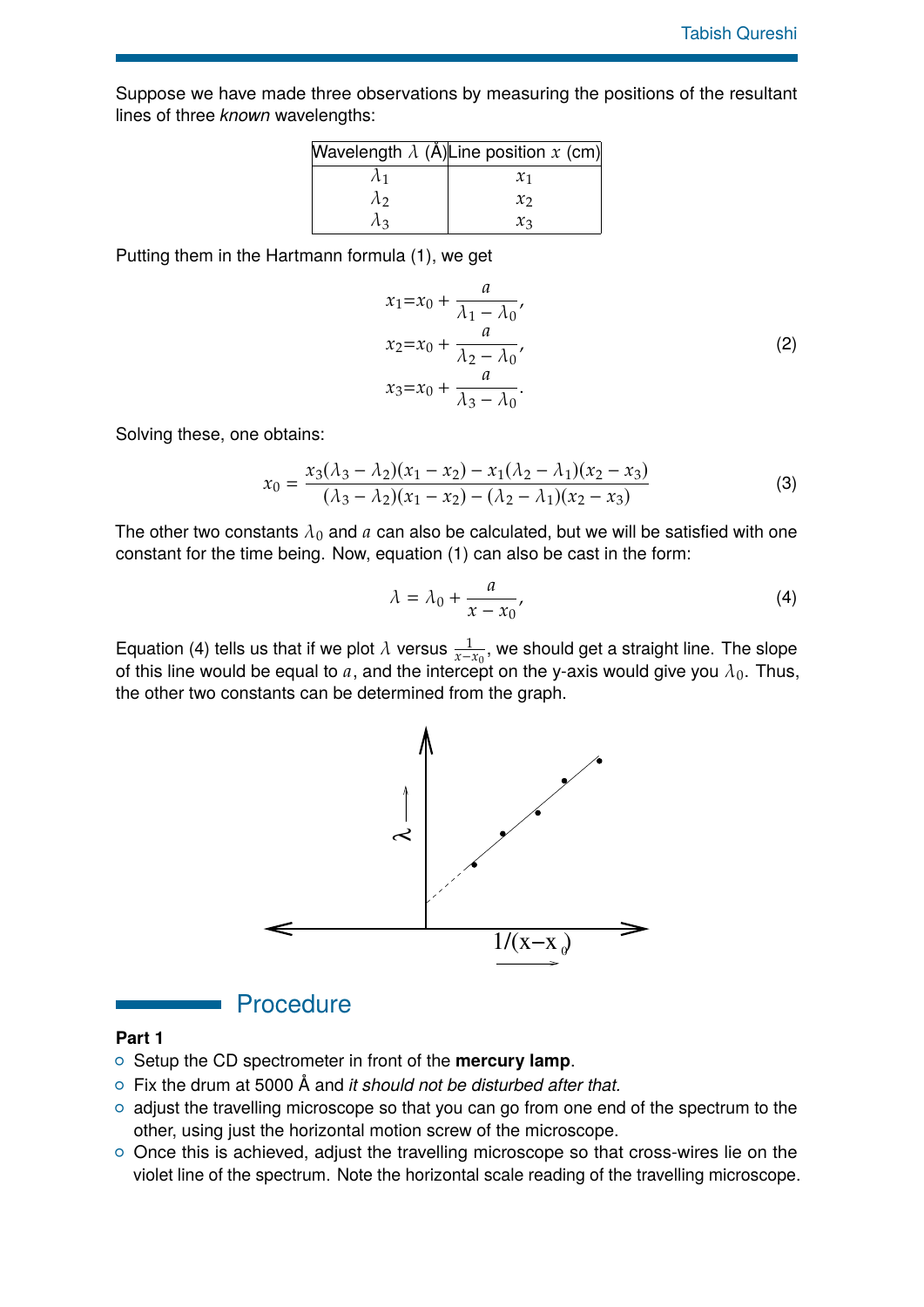Suppose we have made three observations by measuring the positions of the resultant lines of three *known* wavelengths:

|             | Wavelength $\lambda$ (Å) Line position x (cm) |
|-------------|-----------------------------------------------|
| $\Lambda$ 1 | $\chi_1$                                      |
| $\lambda$   | $\chi_2$                                      |
| Лз          | $\chi_3$                                      |

Putting them in the Hartmann formula (1), we get

$$
x_1 = x_0 + \frac{a}{\lambda_1 - \lambda_0},
$$
  
\n
$$
x_2 = x_0 + \frac{a}{\lambda_2 - \lambda_0},
$$
  
\n
$$
x_3 = x_0 + \frac{a}{\lambda_3 - \lambda_0}.
$$
\n(2)

Solving these, one obtains:

$$
x_0 = \frac{x_3(\lambda_3 - \lambda_2)(x_1 - x_2) - x_1(\lambda_2 - \lambda_1)(x_2 - x_3)}{(\lambda_3 - \lambda_2)(x_1 - x_2) - (\lambda_2 - \lambda_1)(x_2 - x_3)}
$$
(3)

The other two constants  $\lambda_0$  and  $a$  can also be calculated, but we will be satisfied with one constant for the time being. Now, equation (1) can also be cast in the form:

$$
\lambda = \lambda_0 + \frac{a}{x - x_0},\tag{4}
$$

Equation (4) tells us that if we plot  $\lambda$  versus  $\frac{1}{x-x_0}$ , we should get a straight line. The slope of this line would be equal to a, and the intercept on the y-axis would give you  $\lambda_0$ . Thus, the other two constants can be determined from the graph.



#### **Procedure**

#### **Part 1**

- { Setup the CD spectrometer in front of the **mercury lamp**.
- { Fix the drum at 5000 Å and *it should not be disturbed after that.*
- $\circ$  adjust the travelling microscope so that you can go from one end of the spectrum to the other, using just the horizontal motion screw of the microscope.
- o Once this is achieved, adjust the travelling microscope so that cross-wires lie on the violet line of the spectrum. Note the horizontal scale reading of the travelling microscope.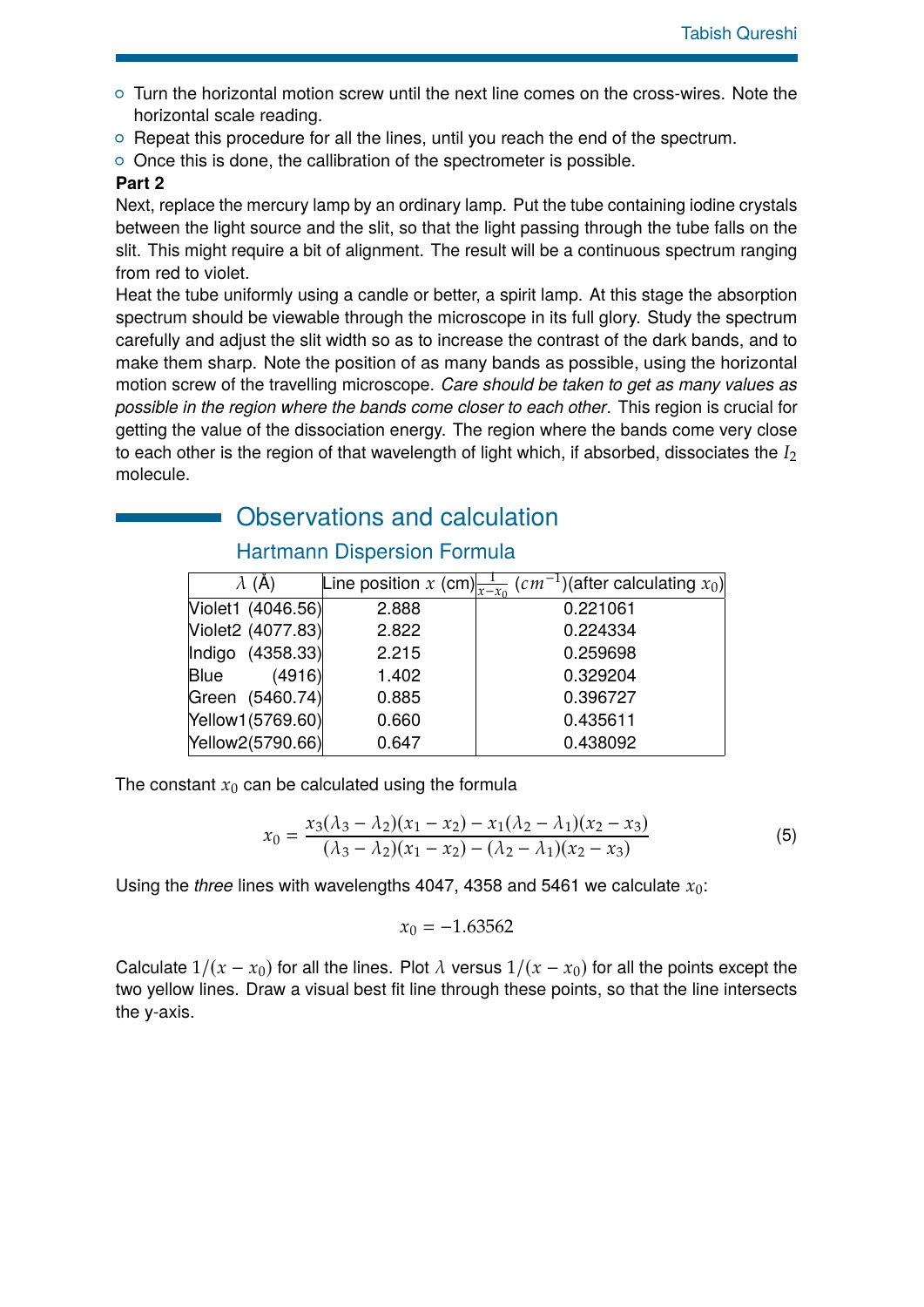- $\circ$  Turn the horizontal motion screw until the next line comes on the cross-wires. Note the horizontal scale reading.
- $\circ$  Repeat this procedure for all the lines, until you reach the end of the spectrum.
- $\circ$  Once this is done, the callibration of the spectrometer is possible.

#### **Part 2**

Next, replace the mercury lamp by an ordinary lamp. Put the tube containing iodine crystals between the light source and the slit, so that the light passing through the tube falls on the slit. This might require a bit of alignment. The result will be a continuous spectrum ranging from red to violet.

Heat the tube uniformly using a candle or better, a spirit lamp. At this stage the absorption spectrum should be viewable through the microscope in its full glory. Study the spectrum carefully and adjust the slit width so as to increase the contrast of the dark bands, and to make them sharp. Note the position of as many bands as possible, using the horizontal motion screw of the travelling microscope. *Care should be taken to get as many values as possible in the region where the bands come closer to each other*. This region is crucial for getting the value of the dissociation energy. The region where the bands come very close to each other is the region of that wavelength of light which, if absorbed, dissociates the *I*<sup>2</sup> molecule.

# Observations and calculation

#### Hartmann Dispersion Formula

| $\lambda$ (A)         |       | Line position x (cm) $\frac{1}{x-x_0}$ (cm <sup>-1</sup> )(after calculating x <sub>0</sub> ) |
|-----------------------|-------|-----------------------------------------------------------------------------------------------|
| Violet1 (4046.56)     | 2.888 | 0.221061                                                                                      |
| Violet2 (4077.83)     | 2.822 | 0.224334                                                                                      |
| Indigo (4358.33)      | 2.215 | 0.259698                                                                                      |
| (4916)<br><b>Blue</b> | 1.402 | 0.329204                                                                                      |
| Green (5460.74)       | 0.885 | 0.396727                                                                                      |
| Yellow1(5769.60)      | 0.660 | 0.435611                                                                                      |
| Yellow2(5790.66)      | 0.647 | 0.438092                                                                                      |

The constant  $x_0$  can be calculated using the formula

$$
x_0 = \frac{x_3(\lambda_3 - \lambda_2)(x_1 - x_2) - x_1(\lambda_2 - \lambda_1)(x_2 - x_3)}{(\lambda_3 - \lambda_2)(x_1 - x_2) - (\lambda_2 - \lambda_1)(x_2 - x_3)}
$$
(5)

Using the *three* lines with wavelengths 4047, 4358 and 5461 we calculate *x*0:

$$
x_0 = -1.63562
$$

Calculate  $1/(x - x_0)$  for all the lines. Plot  $\lambda$  versus  $1/(x - x_0)$  for all the points except the two yellow lines. Draw a visual best fit line through these points, so that the line intersects the y-axis.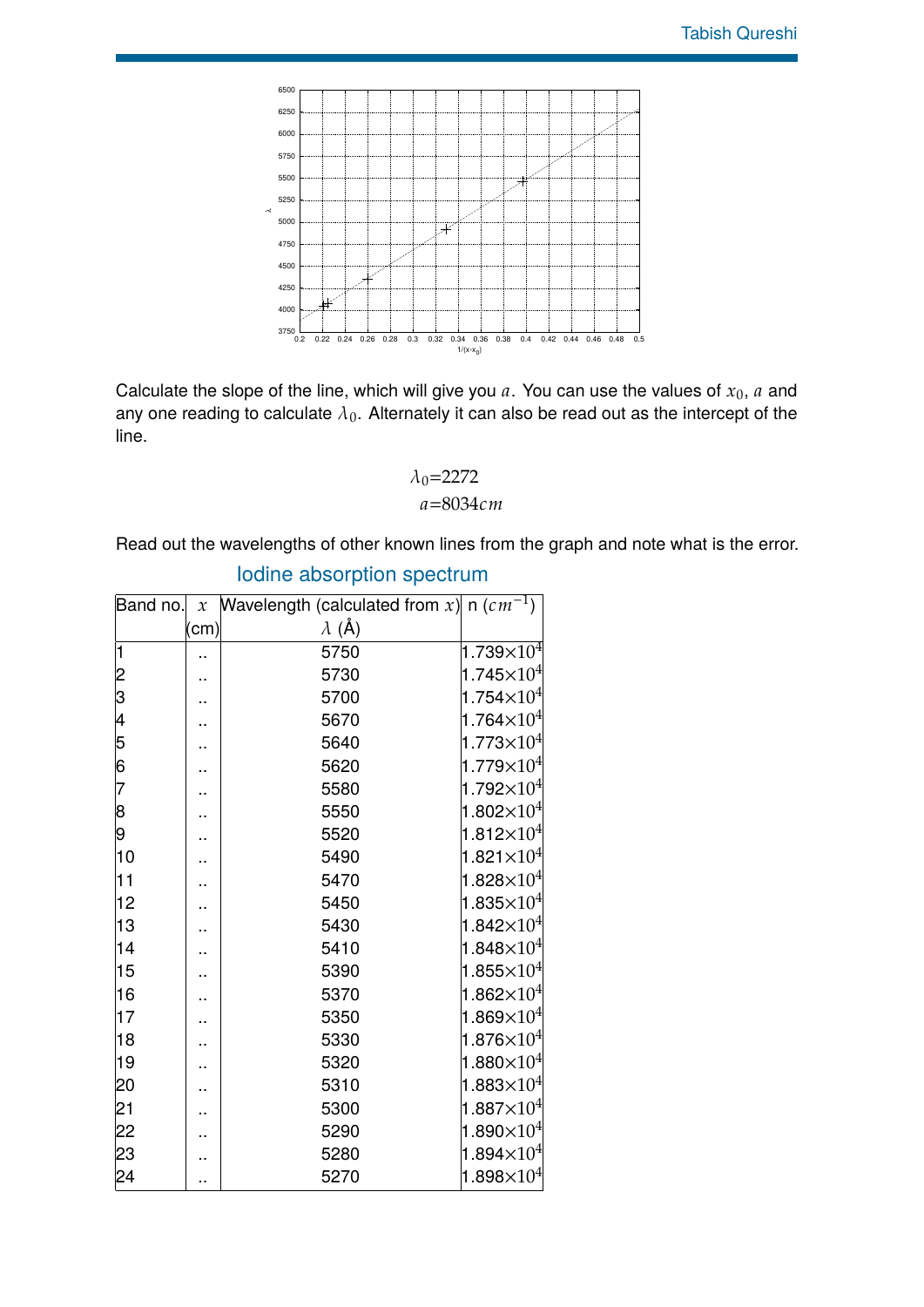

Calculate the slope of the line, which will give you  $a$ . You can use the values of  $x_0$ ,  $a$  and any one reading to calculate  $\lambda_0$ . Alternately it can also be read out as the intercept of the line.

$$
\begin{array}{c}\n\lambda_0 = 2272 \\
a = 8034 \, cm\n\end{array}
$$

Read out the wavelengths of other known lines from the graph and note what is the error.

| Band no.             |      | x Wavelength (calculated from x) n $(cm^{-1})$ |                                |
|----------------------|------|------------------------------------------------|--------------------------------|
|                      | (cm) | $\lambda$ (Å)                                  |                                |
| 1                    | .,   | 5750                                           | 1.739 $\times10^4$             |
|                      | .,   | 5730                                           | 1.745 $\times$ 10 <sup>4</sup> |
| 2<br>3<br>4<br>5     |      | 5700                                           | 1.754 $\times$ 10 <sup>4</sup> |
|                      | ٠.   | 5670                                           | 1.764 $\times$ 10 <sup>4</sup> |
|                      |      | 5640                                           | 1.773 $\times$ 10 <sup>4</sup> |
| $\overline{6}$       |      | 5620                                           | $1.779\times10^{4}$            |
| 7                    |      | 5580                                           | 1.792 $\times 10^4$            |
| $\boldsymbol{\beta}$ |      | 5550                                           | 1.802 $\times 10^4$            |
| 9                    | .,   | 5520                                           | 1.812 $\times$ 10 <sup>4</sup> |
| 10                   | .,   | 5490                                           | 1.821 $\times10^4$             |
| 11                   |      | 5470                                           | $1.828\times10^{4}$            |
| 12                   |      | 5450                                           | 1.835 $\times$ 10 <sup>4</sup> |
| 13                   | .,   | 5430                                           | 1.842 $\times$ 10 <sup>4</sup> |
| 14                   |      | 5410                                           | 1.848 $\times10^4$             |
| 15                   |      | 5390                                           | 1.855 $\times10^4$             |
| 16                   |      | 5370                                           | 1.862 $\times$ 10 <sup>4</sup> |
| 17                   |      | 5350                                           | $1.869\times10^{4}$            |
| 18                   | .,   | 5330                                           | 1.876 $\times10^4$             |
| 19                   |      | 5320                                           | 1.880 $\times 10^4$            |
| 20                   |      | 5310                                           | 1.883 $\times 10^4$            |
| $\overline{21}$      |      | 5300                                           | 1.887 $\times10^4$             |
| 22                   |      | 5290                                           | 1.890 $\times 10^4$            |
| 23                   |      | 5280                                           | 1.894 $\times10^4$             |
| 24                   |      | 5270                                           | $1.898\times10^{4}$            |

# Iodine absorption spectrum